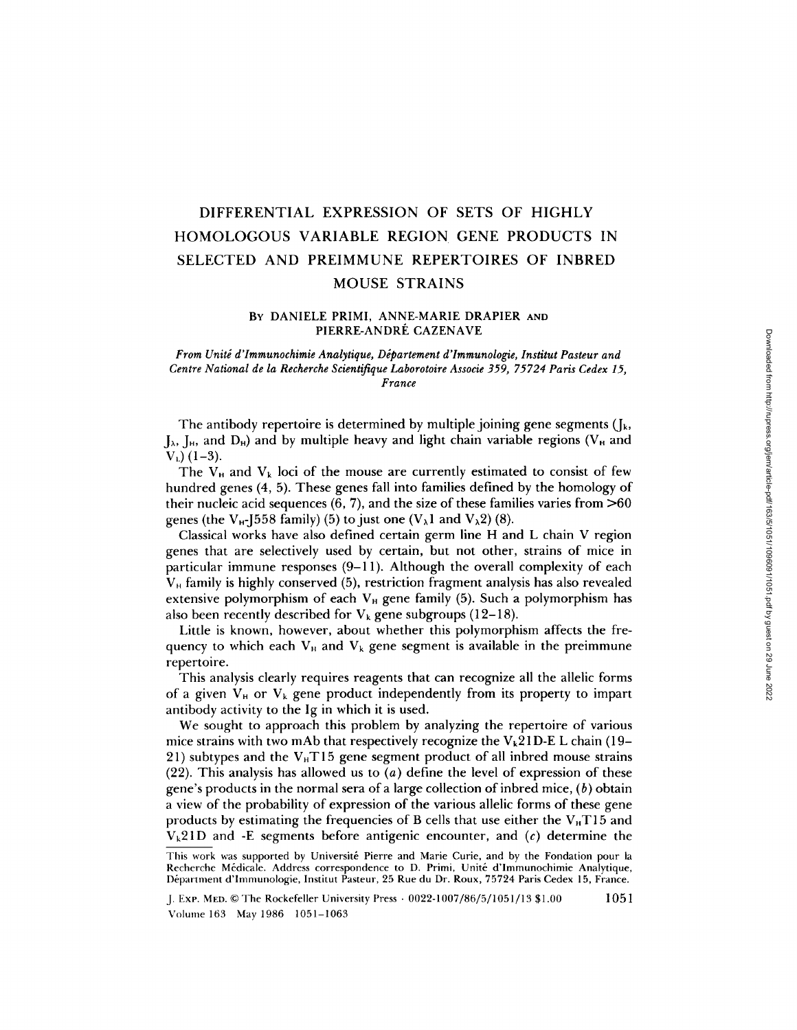# DIFFERENTIAL EXPRESSION OF SETS OF HIGHLY HOMOLOGOUS VARIABLE REGION GENE PRODUCTS IN SELECTED AND PREIMMUNE REPERTOIRES OF INBRED MOUSE STRAINS

## **BY** DANIELE PRIMI, ANNE-MARIE DRAPIER **AND**  PIERRE-ANDRÉ CAZENAVE

#### *From Unité d'Immunochimie Analytique, Département d'Immunologie, Institut Pasteur and Centre National de la Recherche Scientifique Laborotoire Associe 359, 75724 Paris Cedex 15, France*

The antibody repertoire is determined by multiple joining gene segments  $(I_k)$ ,  $J_{\lambda}$ ,  $J_{\rm H}$ , and  $D_{\rm H}$ ) and by multiple heavy and light chain variable regions (V<sub>H</sub> and  $V_L$ ) (1-3).

The  $V_H$  and  $V_k$  loci of the mouse are currently estimated to consist of few hundred genes (4, 5). These genes fall into families defined by the homology of their nucleic acid sequences  $(6, 7)$ , and the size of these families varies from  $>60$ genes (the  $V_{H}$ -J558 family) (5) to just one ( $V_{\lambda}$ 1 and  $V_{\lambda}$ 2) (8).

Classical works have also defined certain germ line H and L chain V region genes that are selectively used by certain, but not other, strains of mice in particular immune responses  $(9-11)$ . Although the overall complexity of each  $V_H$  family is highly conserved (5), restriction fragment analysis has also revealed extensive polymorphism of each  $V_H$  gene family (5). Such a polymorphism has also been recently described for  $V_k$  gene subgroups (12-18).

Little is known, however, about whether this polymorphism affects the frequency to which each  $V_H$  and  $V_k$  gene segment is available in the preimmune repertoire.

This analysis clearly requires reagents that can recognize all the allelic forms of a given  $V_H$  or  $V_k$  gene product independently from its property to impart antibody activity to the Ig in which it is used.

We sought to approach this problem by analyzing the repertoire of various mice strains with two mAb that respectively recognize the  $V_k21D-E$  L chain (19– 21) subtypes and the  $V_H T15$  gene segment product of all inbred mouse strains (22). This analysis has allowed us to  $(a)$  define the level of expression of these gene's products in the normal sera of a large collection of inbred mice,  $(b)$  obtain a view of the probability of expression of the various allelic forms of these gene products by estimating the frequencies of B cells that use either the  $V<sub>H</sub>T15$  and  $V_k21D$  and -E segments before antigenic encounter, and (c) determine the

This work was supported by Université Pierre and Marie Curie, and by the Fondation pour la Recherche Médicale. Address correspondence to D. Primi, Unité d'Immunochimie Analytique, Départment d'Immunologie, Institut Pasteur, 25 Rue du Dr. Roux, 75724 Paris Cedex 15, France.

J. ExP. MED. © The Rockefeller University Press • 0022-1007/86/5/1051 / 13 \$1.00 10 51 Volume 163 May 1986 1051-1063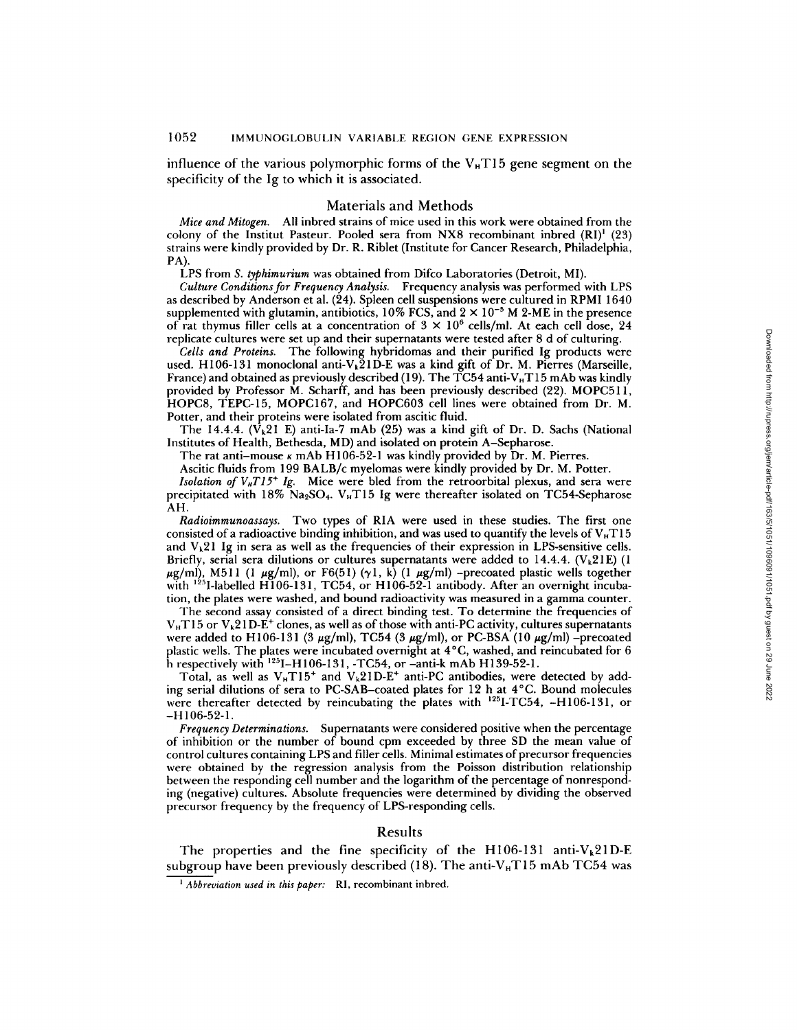influence of the various polymorphic forms of the  $V<sub>H</sub>T15$  gene segment on the specificity of the Ig to which it is associated.

#### Materials and Methods

*Mice and Mitogen.* All inbred strains of mice used in this work were obtained from the colony of the Institut Pasteur. Pooled sera from NX8 recombinant inbred  $(RI)^1$  (23) strains were kindly provided by Dr. R. Riblet (Institute for Cancer Research, Philadelphia, PA).

LPS from *S. typhimurium* was obtained from Difco Laboratories (Detroit, MI).

*Culture Conditions for Frequency Analysis.* Frequency analysis was performed with LPS as described by Anderson et al.  $(24)$ . Spleen cell suspensions were cultured in RPMI 1640 supplemented with glutamin, antibiotics,  $10\%$  FCS, and  $2 \times 10^{-5}$  M 2-ME in the presence of rat thymus filler cells at a concentration of  $3 \times 10^6$  cells/ml. At each cell dose, 24 replicate cultures were set up and their supernatants were tested after 8 d of culturing.

*Cells and Proteins.* The following hybridomas and their purified Ig products were used. Hl06-131 monoclonal anti-Vk21D-E was a kind gift of Dr. M. Pierres (Marseille, France) and obtained as previously described (19). The  $\overline{TC}54$  anti-V<sub>H</sub>T15 mAb was kindly provided by Professor M. Scharff, and has been previously described (22). MOPCS1 l, HOPC8, TEPC-15, MOPC167, and HOPC603 cell lines were obtained from Dr. M. Potter, and their proteins were isolated from ascitic fluid.

The 14.4.4. ( $V_k$ 21 E) anti-Ia-7 mAb (25) was a kind gift of Dr. D. Sachs (National Institutes of Health, Bethesda, MD) and isolated on protein A-Sepharose.

The rat anti-mouse  $\kappa$  mAb H106-52-1 was kindly provided by Dr. M. Pierres.

Ascitic fluids from 199 BALB/c myelomas were kindly provided by Dr. M. Potter.

*Isolation of V<sub>H</sub>T15<sup>+</sup> Ig.* Mice were bled from the retroorbital plexus, and sera were precipitated with  $18\%$  Na<sub>2</sub>SO<sub>4</sub>. V<sub>H</sub>T15 Ig were thereafter isolated on TC54-Sepharose AH.

*Radioimmunoassays.* Two types of RIA were used in these studies. The first one consisted of a radioactive binding inhibition, and was used to quantify the levels of  $V_{\rm H}T15$ and  $V_k$ 21 Ig in sera as well as the frequencies of their expression in LPS-sensitive cells. Briefly, serial sera dilutions or cultures supernatants were added to 14.4.4. ( $V_k21E$ ) (1  $\mu$ g/ml), M511 (1  $\mu$ g/ml), or F6(51) ( $\gamma$ 1, k) (1  $\mu$ g/ml) -precoated plastic wells together with  $^{125}$ I-labelled H106-131, TC54, or H106-52-1 antibody. After an overnight incubation, the plates were washed, and bound radioactivity was measurcd in a gamma counter.

The second assay consisted of a direct binding test. To determine the frequencies of  $V_{\text{H}}$ T15 or  $V_{k}$ 21D-E<sup>+</sup> clones, as well as of those with anti-PC activity, cultures supernatants were added to H106-131 (3  $\mu$ g/ml), TC54 (3  $\mu$ g/ml), or PC-BSA (10  $\mu$ g/ml) -precoated plastic wells. The plates were incubated overnight at 4°C, washed, and reincubated for 6 h respectively with  $^{125}$ I-H106-131, -TC54, or -anti-k mAb H139-52-1.

Total, as well as  $V_{\text{H}}T15^{+}$  and  $V_{k}21D-E^{+}$  anti-PC antibodies, were detected by adding serial dilutions of sera to PC-SAB-coated plates for 12 h at 4°C. Bound molecules were thereafter detected by reincubating the plates with <sup>125</sup>I-TC54, -H106-131, or -H 106-52-1.

*Frequency Determinations.* Supernatants were considered positive when the percentage of inhibition or the number of bound cpm exceeded by three SD the mean value of control cultures containing LPS and filler cells. Minimal estimates of precursor frequencies were obtained by the regression analysis from the Poisson distribution relationship between the responding cell number and the logarithm of the percentage of nonresponding (negative) cultures. Absolute frequencies were determined by dividing the observed precursor frequency by the frequency of LPS-responding cells.

## Results

The properties and the fine specificity of the H106-131 anti- $V_k21D-E$ subgroup have been previously described (18). The anti- $V_HT15$  mAb TC54 was

*<sup>&#</sup>x27; Abbreviation used in this paper:* RI, recombinant inbred.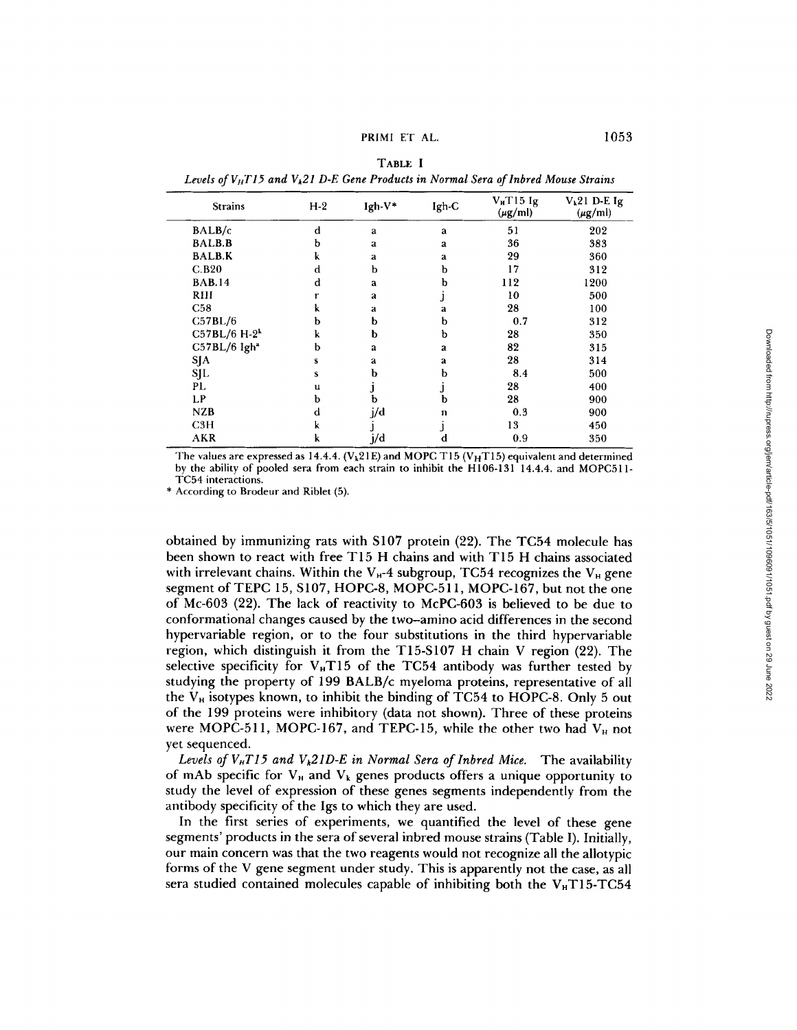PRIMI ET AL. 1053

| <b>Strains</b>           | $H-2$ | $Igh-V*$     | Igh-C | $V_H$ T <sub>15</sub> Ig<br>$(\mu g/ml)$ | $V_k21$ D-E Ig<br>$(\mu g/ml)$ |
|--------------------------|-------|--------------|-------|------------------------------------------|--------------------------------|
| BALB/c                   | d     | a            | a     | 51                                       | 202                            |
| <b>BALB.B</b>            | b     | a            | a     | 36                                       | 383                            |
| <b>BALB.K</b>            | k     | a            | a     | 29                                       | 360                            |
| C.B20                    | d     | b            | b     | 17                                       | 312                            |
| <b>BAB.14</b>            | d     | a            | b     | 112                                      | 1200                           |
| RIII                     |       | a            |       | 10                                       | 500                            |
| <b>C58</b>               |       | a            | a     | 28                                       | 100                            |
| C57BL/6                  | b     | b            | b     | 0.7                                      | 312                            |
| $C57BL/6 H-2k$           | k     | b            | b     | 28                                       | 350                            |
| C57BL/6 Igh <sup>*</sup> | ь     | $\mathbf{a}$ | a     | 82                                       | 315                            |
| SJA                      | S     | a            | a     | 28                                       | 314                            |
| SJL                      | s     | b            | b     | 8.4                                      | 500                            |
| PL.                      | u     |              |       | 28                                       | 400                            |
| LP.                      | b     | b            | b     | 28                                       | 900                            |
| NZB                      | d     | j/d          | n     | 0.3                                      | 900                            |
| C3H                      | k     |              |       | 13                                       | 450                            |
| AKR                      | k     | j/d          | d     | 0.9                                      | 350                            |

TABLE I Levels of V<sub>H</sub>T15 and V<sub>2</sub>1 D-E Gene Products in Normal Sera of Inbred Mouse Strains

The values are expressed as 14.4.4. (V<sub>k</sub>21E) and MOPC T15 (V<sub>H</sub>T15) equivalent and determined by the ability of pooled sera from each strain to inhibit the H106-131 14.4.4. and MOPCSll-TC54 interactions.

\* According to Brodeur and Riblet (5).

obtained by immunizing rats with S107 protein (22). The TC54 molecule has been shown to react with free T15 H chains and with T15 H chains associated with irrelevant chains. Within the  $V_H$ -4 subgroup, TC54 recognizes the  $V_H$  gene segment of TEPC 15, S107, HOPC-8, MOPC-511, MOPC-167, but not the one of Mc-603 (22). The lack of reactivity to McPC-603 is believed to be due to conformational changes caused by the two-amino acid differences in the second hypervariable region, or to the four substitutions in the third hypervariable region, which distinguish it from the T15-S107 H chain V region (22). The selective specificity for  $V_H T15$  of the TC54 antibody was further tested by studying the property of 199 BALB/c myeloma proteins, representative of all the  $V_H$  isotypes known, to inhibit the binding of TC54 to HOPC-8. Only 5 out of the 199 proteins were inhibitory (data not shown). Three of these proteins were MOPC-511, MOPC-167, and TEPC-15, while the other two had  $V_H$  not yet sequenced.

Levels of  $V<sub>H</sub>T15$  and  $V<sub>k</sub>21D-E$  in Normal Sera of Inbred Mice. The availability of mAb specific for  $V_{\rm H}$  and  $V_{\rm k}$  genes products offers a unique opportunity to study the level of expression of these genes segments independently from the antibody specificity of the Igs to which they are used.

In the first series of experiments, we quantified the level of these gene segments' products in the sera of several inbred mouse strains (Table I). Initially, our main concern was that the two reagents would not recognize all the allotypic forms of the V gene segment under study. This is apparently not the case, as all sera studied contained molecules capable of inhibiting both the  $V<sub>H</sub>$ T15-TC54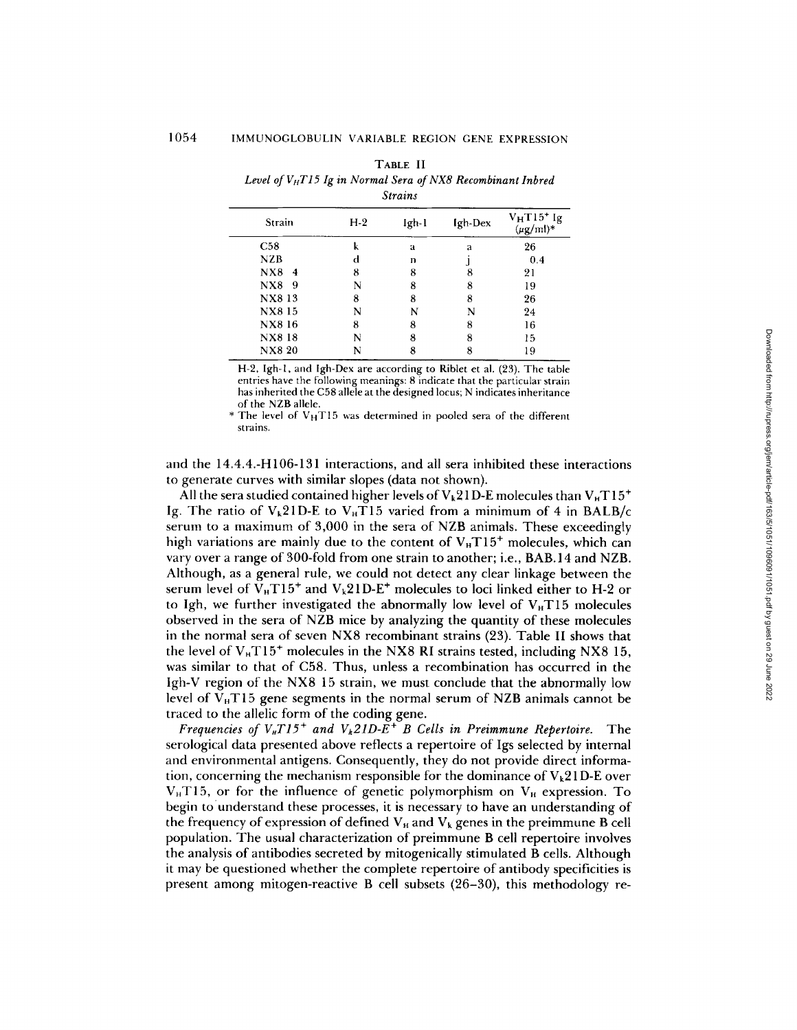TABLE II *Level ofVnT15 Ig in Normal Sera of NX8 Recombinant Inbred* 

| <b>Strains</b> |            |                |   |         |                                          |  |  |  |  |  |
|----------------|------------|----------------|---|---------|------------------------------------------|--|--|--|--|--|
| Strain         |            | $H-2$<br>Igh-1 |   | Igh-Dex | $V_H T15^+$ Ig<br>$(\mu\mathrm{g/mL})^*$ |  |  |  |  |  |
|                | C58        | k              | a | a       | 26                                       |  |  |  |  |  |
|                | <b>NZB</b> | d              | n |         | 0.4                                      |  |  |  |  |  |
|                | N X 8<br>4 | 8              | 8 | 8       | 21                                       |  |  |  |  |  |
|                | NX8 9      | N              | 8 | 8       | 19                                       |  |  |  |  |  |
|                | NX8 13     | 8              | 8 | 8       | 26                                       |  |  |  |  |  |
|                | NX815      | N              | N | N       | 24                                       |  |  |  |  |  |
|                | NX8 16     | 8              | 8 | 8       | 16                                       |  |  |  |  |  |
|                | NX8 18     | N              | 8 | 8       | 15                                       |  |  |  |  |  |
|                | NX8 20     | N              | 8 | 8       | 19                                       |  |  |  |  |  |
|                |            |                |   |         |                                          |  |  |  |  |  |

H-2, Igh-l, and Igh-Dex are according to Riblet et al. (23). The table entries have the following meanings: 8 indicate that the particular strain has inherited the C58 allele at the designed locus; N indicates inheritance of the NZB allele.

\* The level of  $V<sub>H</sub>T15$  was determined in pooled sera of the different strains.

and the 14.4.4.-H 106-131 interactions, and all sera inhibited these interactions to generate curves with similar slopes (data not shown).

All the sera studied contained higher levels of  $V_k21D$ -E molecules than  $V_HT15^+$ Ig. The ratio of  $V_k$ 21D-E to  $V_H$ T15 varied from a minimum of 4 in BALB/c serum to a maximum of 3,000 in the sera of NZB animals. These exceedingly high variations are mainly due to the content of  $V_{H}T15^{+}$  molecules, which can vary over a range of 300-fold from one strain to another; i.e., BAB. 14 and NZB. Although, as a general rule, we could not detect any clear linkage between the serum level of  $V_H T 15^+$  and  $V_k 21D-E^+$  molecules to loci linked either to H-2 or to Igh, we further investigated the abnormally low level of  $V<sub>H</sub>T15$  molecules observed in the sera of NZB mice by analyzing the quantity of these molecules in the normal sera of seven NX8 recombinant strains (23). Table II shows that the level of  $V_H T 15^+$  molecules in the NX8 RI strains tested, including NX8 15, was similar to that of C58. Thus, unless a recombination has occurred in the Igh-V region of the NX8 15 strain, we must conclude that the abnormally low level of  $V_H T15$  gene segments in the normal serum of NZB animals cannot be traced to the allelic form of the coding gene.

*Frequencies of*  $V_{H}T15^{+}$  *and*  $V_{k}21D-E^{+}B$  *Cells in Preimmune Repertoire.* The serological data presented above reflects a repertoire of Igs selected by internal and environmental antigens. Consequently, they do not provide direct information, concerning the mechanism responsible for the dominance of  $V_k21D-E$  over  $V<sub>H</sub>T15$ , or for the influence of genetic polymorphism on  $V<sub>H</sub>$  expression. To begin to understand these processes, it is necessary to have an understanding of the frequency of expression of defined  $V_H$  and  $V_k$  genes in the preimmune B cell population. The usual characterization of preimmune B cell repertoire involves the analysis of antibodies secreted by mitogenically stimulated B cells. Although it may be questioned whether the complete repertoire of antibody specificities is present among mitogen-reactive B cell subsets (26-30), this methodology re-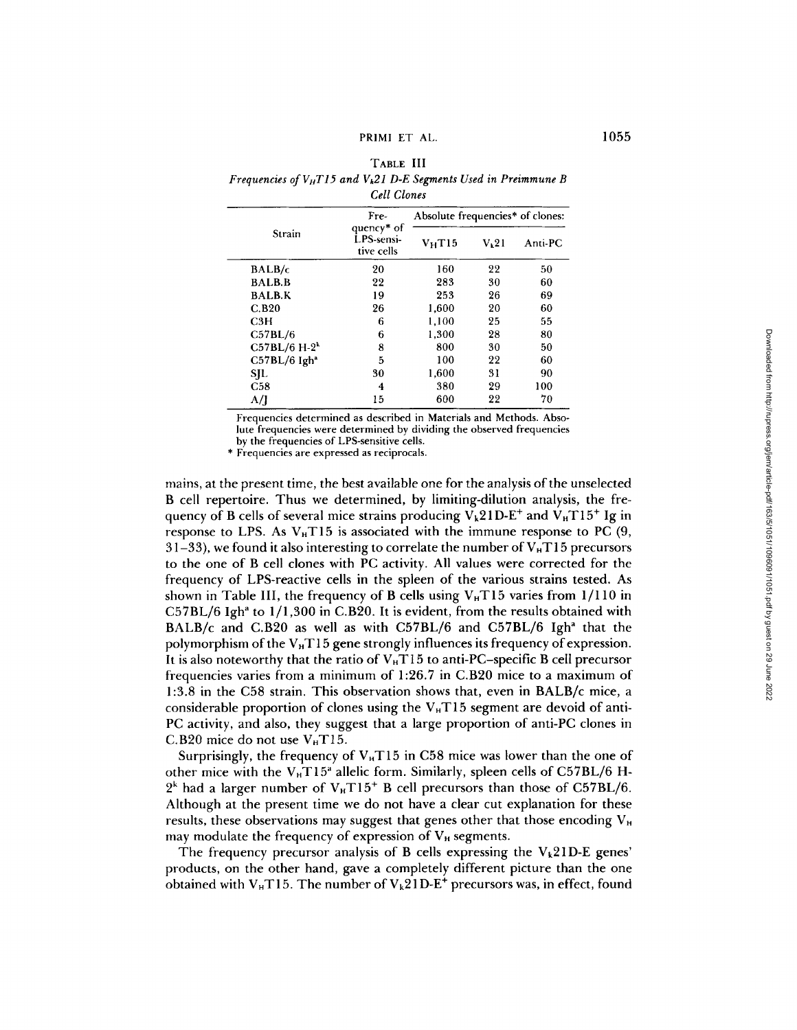# PRIMI ET AL. 1055

# TABLE III *Frequencies of VHTI5 and Vk21 D-E Segments Used in Preimmune B Cell Clones*

| Strain                     | Fre-<br>quency <sup>*</sup> of<br>LPS sensi-<br>tive cells | Absolute frequencies* of clones: |                   |         |  |
|----------------------------|------------------------------------------------------------|----------------------------------|-------------------|---------|--|
|                            |                                                            | $V_H$ T15                        | V <sub>k</sub> 21 | Anti-PC |  |
| BALB/c                     | 20                                                         | 160                              | 22                | 50      |  |
| <b>BALB.B</b>              | 22                                                         | 283                              | 30                | 60      |  |
| <b>BALB.K</b>              | 19                                                         | 253                              | 26                | 69      |  |
| C.B20                      | 26                                                         | 1,600                            | 20                | 60      |  |
| C3H                        | 6                                                          | 1,100                            | 25                | 55      |  |
| C57BL/6                    | 6                                                          | 1.300                            | 28                | 80      |  |
| $C57BL/6 H-2k$             | 8                                                          | 800                              | 30                | 50      |  |
| $C57BL/6$ Igh <sup>a</sup> | 5                                                          | 100                              | 22                | 60      |  |
| SJL                        | 30                                                         | 1,600                            | 31                | 90      |  |
| C58                        | 4                                                          | 380                              | 29                | 100     |  |
| A/I                        | 15                                                         | 600                              | 22                | 70      |  |

Frequencies determined as described in Materials and Methods. Absolute frequencies were determined by dividing the observed frequencies by the frequencies of LPS-sensitive cells.

\* Frequencies are expressed as reciprocals.

mains, at the present time, the best available one for the analysis of the unselected B cell repertoire. Thus we determined, by limiting-dilution analysis, the frequency of B cells of several mice strains producing  $V_k21D-E^+$  and  $V_HT15^+$  Ig in response to LPS. As  $V<sub>H</sub>T15$  is associated with the immune response to PC (9, 31-33), we found it also interesting to correlate the number of  $V<sub>H</sub>T15$  precursors to the one of B cell clones with PC activity. All values were corrected for the frequency of LPS-reactive cells in the spleen of the various strains tested. As shown in Table III, the frequency of B cells using  $V<sub>H</sub>T15$  varies from 1/110 in  $C57BL/6$  Igh<sup>a</sup> to  $1/1,300$  in C.B20. It is evident, from the results obtained with BALB/c and C.B20 as well as with C57BL/6 and C57BL/6 Igh<sup>a</sup> that the polymorphism of the  $V<sub>H</sub>T15$  gene strongly influences its frequency of expression. It is also noteworthy that the ratio of  $V_H T15$  to anti-PC-specific B cell precursor frequencies varies from a minimum of 1:26.7 in C.B20 mice to a maximum of 1:3.8 in the C58 strain. This observation shows that, even in BALB/c mice, a considerable proportion of clones using the  $V<sub>H</sub>T15$  segment are devoid of anti-PC activity, and also, they suggest that a large proportion of anti-PC clones in C.B20 mice do not use  $V<sub>H</sub>T15$ .

Surprisingly, the frequency of  $V<sub>H</sub>T15$  in C58 mice was lower than the one of other mice with the  $V_H T15^a$  allelic form. Similarly, spleen cells of C57BL/6 H- $2^k$  had a larger number of  $V_H T15^+$  B cell precursors than those of C57BL/6. Although at the present time we do not have a clear cut explanation for these results, these observations may suggest that genes other that those encoding  $V<sub>H</sub>$ may modulate the frequency of expression of  $V_H$  segments.

The frequency precursor analysis of B cells expressing the  $V_k21D-E$  genes' products, on the other hand, gave a completely different picture than the one obtained with  $V_H T 15$ . The number of  $V_k 21 D-E^+$  precursors was, in effect, found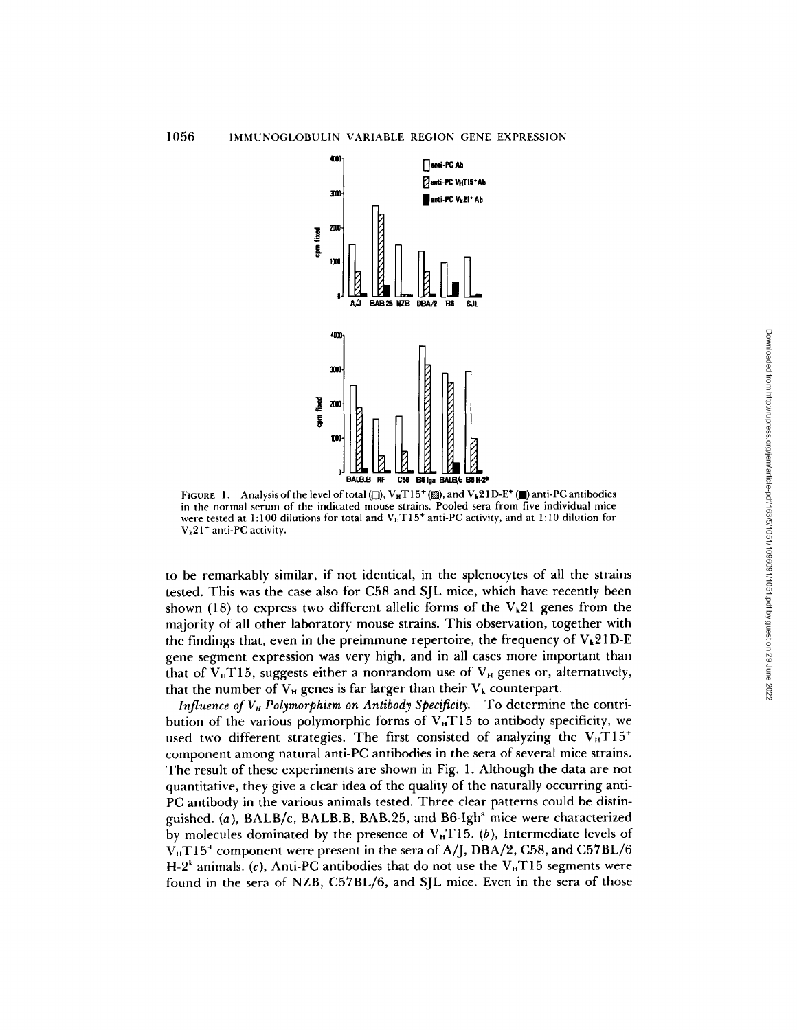

*FIGURE* 1. Analysis of the level of total ( $\Box$ ), V<sub>H</sub>T15<sup>+</sup> (2), and V<sub>k</sub>21D-E<sup>+</sup> ( $\Box$ ) anti-PC antibodies in the normal serum of the indicated mouse strains. Pooled sera from five individual mice were tested at 1:100 dilutions for total and  $V_H T15^+$  anti-PC activity, and at 1:10 dilution for  $V_k$ 21<sup>+</sup> anti-PC activity.

to be remarkably similar, if not identical, in the splenocytes of all the strains tested. This was the case also for C58 and SJL mice, which have recently been shown (18) to express two different allelic forms of the  $V_k$ 21 genes from the majority of all other laboratory mouse strains. This observation, together with the findings that, even in the preimmune repertoire, the frequency of  $V_k21D-E$ gene segment expression was very high, and in all cases more important than that of  $V_{H}T15$ , suggests either a nonrandom use of  $V_{H}$  genes or, alternatively, that the number of  $V_H$  genes is far larger than their  $V_k$  counterpart.

*Influence of V<sub>H</sub> Polymorphism on Antibody Specificity.* To determine the contribution of the various polymorphic forms of  $V_H T15$  to antibody specificity, we used two different strategies. The first consisted of analyzing the  $V_H T15^+$ component among natural anti-PC antibodies in the sera of several mice strains. The result of these experiments are shown in Fig. 1. Although the data are not quantitative, they give a clear idea of the quality of the naturally occurring anti-PC antibody in the various animals tested. Three clear patterns could be distinguished. (a), BALB/c, BALB.B, BAB.25, and B6-Igh<sup>a</sup> mice were characterized by molecules dominated by the presence of  $V<sub>H</sub>T15$ . (b), Intermediate levels of  $V_H T15^+$  component were present in the sera of A/J, DBA/2, C58, and C57BL/6 H-2<sup>k</sup> animals. (c), Anti-PC antibodies that do not use the  $V<sub>H</sub>T15$  segments were found in the sera of NZB, C57BL/6, and SJL mice. Even in the sera of those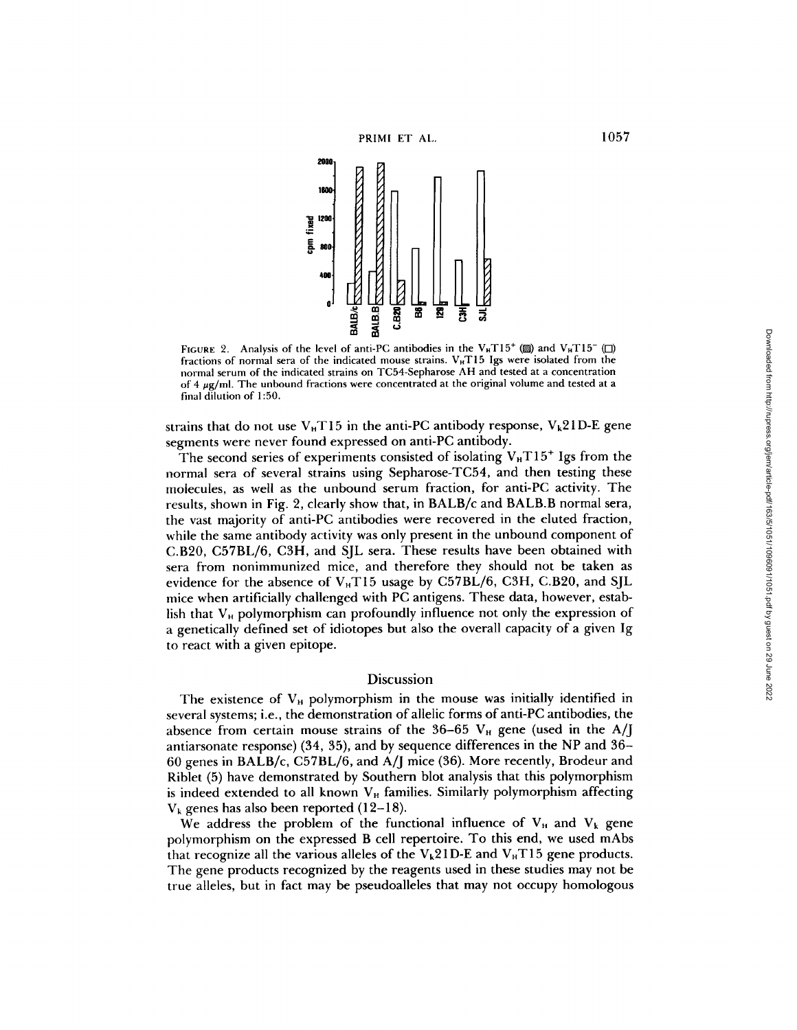

FIGURE 2. Analysis of the level of anti-PC antibodies in the V<sub>H</sub>T15<sup>+</sup> (2) and V<sub>H</sub>T15<sup>-</sup> ( $\square$ ) fractions of normal sera of the indicated mouse strains.  $V_H T15$  Igs were isolated from the normal serum of the indicated strains on TC54-Sepharose AH and tested at a concentration of 4  $\mu$ g/ml. The unbound fractions were concentrated at the original volume and tested at a final dilution of 1:50.

strains that do not use  $V<sub>H</sub>T15$  in the anti-PC antibody response,  $V<sub>k</sub>21D-E$  gene segments were never found expressed on anti-PC antibody.

The second series of experiments consisted of isolating  $V<sub>H</sub>T15<sup>+</sup>$  Igs from the normal sera of several strains using Sepharose-TC54, and then testing these molecules, as well as the unbound serum fraction, for anti-PC activity. The results, shown in Fig. 2, clearly show that, in BALB/c and BALB.B normal sera, the vast majority of anti-PC antibodies were recovered in the eluted fraction, while the same antibody activity was only present in the unbound component of *C.B20,* C57BL/6, C3H, and SJL sera. These results have been obtained with sera from nonimmunized mice, and therefore they should not be taken as evidence for the absence of  $V_H T15$  usage by C57BL/6, C3H, C.B20, and SJL mice when artificially challenged with PC antigens. These data, however, establish that  $V_H$  polymorphism can profoundly influence not only the expression of a genetically defined set of idiotopes but also the overall capacity of a given Ig to react with a given epitope.

# Discussion

The existence of  $V_H$  polymorphism in the mouse was initially identified in several systems; i.e., the demonstration of ailelic forms of anti-PC antibodies, the absence from certain mouse strains of the 36-65  $V_H$  gene (used in the A/J antiarsonate response) (34, 35), and by sequence differences in the NP and 36- 60 genes in BALB/c, C57BL/6, and A/J mice (36). More recently, Brodeur and Riblet (5) have demonstrated by Southern blot analysis that this polymorphism is indeed extended to all known  $V_H$  families. Similarly polymorphism affecting  $V_k$  genes has also been reported (12-18).

We address the problem of the functional influence of  $V_H$  and  $V_k$  gene polymorphism on the expressed B cell repertoire. To this end, we used mAbs that recognize all the various alleles of the  $V_k21D-E$  and  $V_HT15$  gene products. The gene products recognized by the reagents used in these studies may not be true alleles, but in fact may be pseudoalleles that may not occupy homologous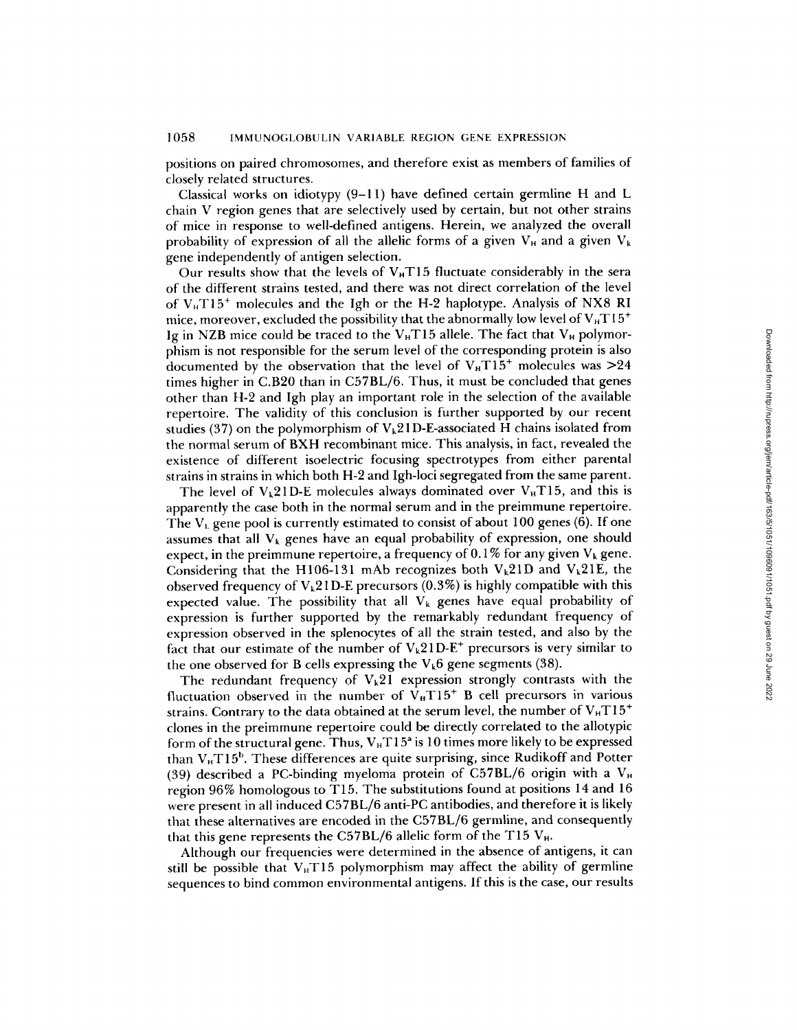positions on paired chromosomes, and therefore exist as members of families of closely related structures.

Classical works on idiotypy (9-11) have defined certain germline H and L chain V region genes that are selectively used by certain, but not other strains of mice in response to well-defined antigens. Herein, we analyzed the overall probability of expression of all the allelic forms of a given  $V_H$  and a given  $V_k$ gene independently of antigen selection.

Our results show that the levels of  $V_HT15$  fluctuate considerably in the sera of the different strains tested, and there was not direct correlation of the level of  $V<sub>H</sub>T15<sup>+</sup>$  molecules and the Igh or the H-2 haplotype. Analysis of NX8 RI mice, moreover, excluded the possibility that the abnormally low level of  $V_H T15^+$ Ig in NZB mice could be traced to the  $V_H T15$  allele. The fact that  $V_H$  polymorphism is not responsible for the serum level of the corresponding protein is also documented by the observation that the level of  $V_H T15^+$  molecules was  $>24$ times higher in C.B20 than in C57BL/6. Thus, it must be concluded that genes other than H-2 and Igh play an important role in the selection of the available repertoire. The validity of this conclusion is further supported by our recent studies (37) on the polymorphism of  $V_k$ 21 D-E-associated H chains isolated from the normal serum of BXH recombinant mice. This analysis, in fact, revealed the existence of different isoelectric focusing spectrotypes from either parental strains in strains in which both H-2 and Igh-loci segregated from the same parent.

The level of  $V_k21D-E$  molecules always dominated over  $V_HT15$ , and this is apparently the case both in the normal serum and in the preimmune repertoire. The  $V_L$  gene pool is currently estimated to consist of about 100 genes (6). If one assumes that all  $V_k$  genes have an equal probability of expression, one should expect, in the preimmune repertoire, a frequency of 0.1% for any given  $V_k$  gene. Considering that the H106-131 mAb recognizes both  $V_k21D$  and  $V_k21E$ , the observed frequency of  $V_k21D-E$  precursors (0.3%) is highly compatible with this expected value. The possibility that all  $V_k$  genes have equal probability of expression is further supported by the remarkably redundant frequency of expression observed in the splenocytes of all the strain tested, and also by the fact that our estimate of the number of  $V_k21D-E^+$  precursors is very similar to the one observed for B cells expressing the  $V_k6$  gene segments (38).

The redundant frequency of  $V_k21$  expression strongly contrasts with the fluctuation observed in the number of  $V_H T15^+$  B cell precursors in various strains. Contrary to the data obtained at the serum level, the number of  $V_H T 15^+$ clones in the preimmune repertoire could be directly correlated to the allotypic form of the structural gene. Thus,  $V_H T 15^2$  is 10 times more likely to be expressed than  $V<sub>H</sub>T15<sup>b</sup>$ . These differences are quite surprising, since Rudikoff and Potter (39) described a PC-binding myeloma protein of C57BL/6 origin with a  $V_H$ region 96% homologous to T15. The substitutions found at positions 14 and 16 were present in all induced C57BL/6 anti-PC antibodies, and therefore it is likely that these alternatives are encoded in the C57BL/6 germline, and consequently that this gene represents the C57BL/6 allelic form of the T15  $V_H$ .

Although our frequencies were determined in the absence of antigens, it can still be possible that  $V_H T15$  polymorphism may affect the ability of germline sequences to bind common environmental antigens. If this is the case, our results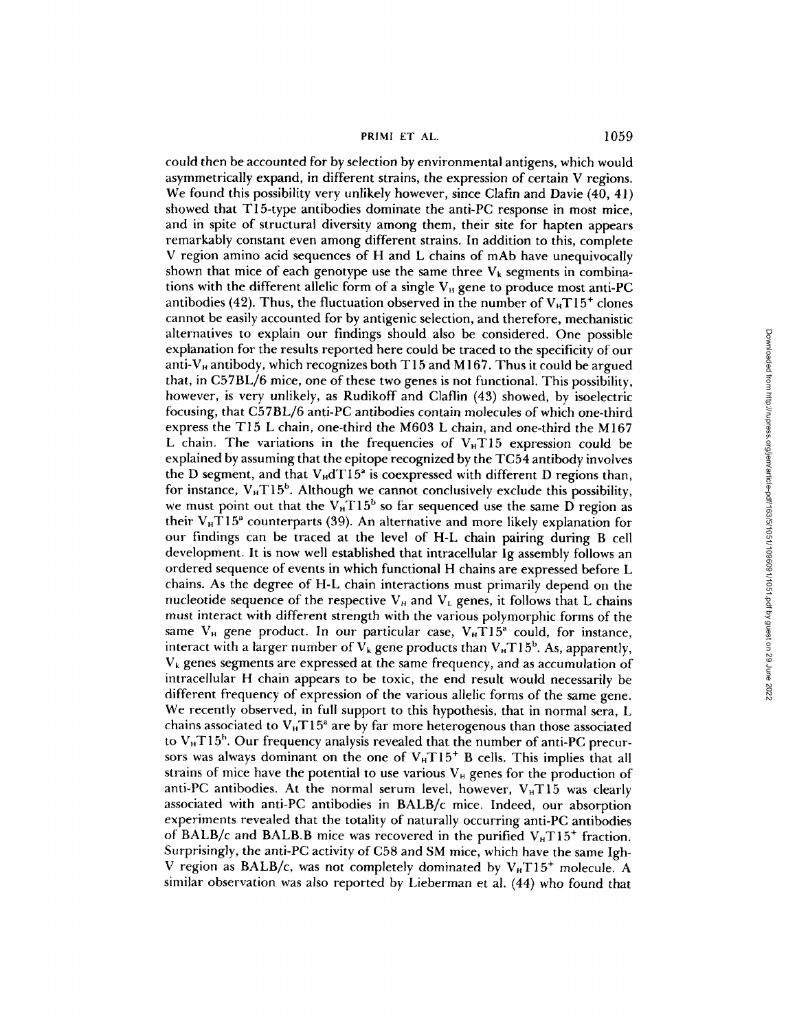PRIMI ET AL. 1059

could then be accounted for by selection by environmental antigens, which would asymmetrically expand, in different strains, the expression of certain V regions. We found this possibility very unlikely however, since Clafin and Davie (40, 41) showed that T15-type antibodies dominate the anti-PC response in most mice, and in spite of structural diversity among them, their site for hapten appears remarkably constant even among different strains. In addition to this, complete V region amino acid sequences of H and L chains of mAb have unequivocally shown that mice of each genotype use the same three  $V_k$  segments in combinations with the different allelic form of a single  $V_H$  gene to produce most anti-PC antibodies (42). Thus, the fluctuation observed in the number of  $V_B T15^+$  clones cannot be easily accounted for by antigenic selection, and therefore, mechanistic alternatives to explain our findings should also be considered. One possible explanation for the results reported here could be traced to the specificity of our anti-V<sub>H</sub> antibody, which recognizes both T15 and M167. Thus it could be argued that, in C57BL/6 mice, one of these two genes is not functional. This possibility, however, is very unlikely, as Rudikoff and Claflin (43) showed, by isoelectric focusing, that C57BL/6 anti-PC antibodies contain molecules of which one-third express the T15 L chain, one-third the M603 L chain, and one-third the M167 L chain. The variations in the frequencies of  $V<sub>H</sub>T15$  expression could be explained by assuming that the epitope recognized by the TC54 antibody involves the D segment, and that  $V_{\rm H} dT15^2$  is coexpressed with different D regions than, for instance,  $V_H T15^b$ . Although we cannot conclusively exclude this possibility, we must point out that the  $V_H T15^b$  so far sequenced use the same D region as their  $V_H T 15^a$  counterparts (39). An alternative and more likely explanation for our findings can be traced at the level of H-L chain pairing during B cell development. It is now well established that intracellular Ig assembly follows an ordered sequence of events in which functional H chains are expressed before L chains. As the degree of H-L chain interactions must primarily depend on the nucleotide sequence of the respective  $V_H$  and  $V_L$  genes, it follows that L chains must interact with different strength with the various polymorphic forms of the same  $V_H$  gene product. In our particular case,  $V_H T 15^a$  could, for instance, interact with a larger number of  $V_k$  gene products than  $V_HT15^b$ . As, apparently,  $V_k$  genes segments are expressed at the same frequency, and as accumulation of intracellular H chain appears to be toxic, the end result would necessarily be different frequency of expression of the various allelic forms of the same gene. We recently observed, in full support to this hypothesis, that in normal sera, L chains associated to  $V<sub>H</sub>T15<sup>a</sup>$  are by far more heterogenous than those associated to  $V<sub>H</sub>T15<sup>b</sup>$ . Our frequency analysis revealed that the number of anti-PC precursors was always dominant on the one of  $V<sub>H</sub>T15<sup>+</sup>$  B cells. This implies that all strains of mice have the potential to use various  $V_H$  genes for the production of anti-PC antibodies. At the normal serum level, however,  $V_H T15$  was clearly associated with anti-PC antibodies in BALB/c mice. Indeed, our absorption experiments revealed that the totality of naturally occurring anti-PC antibodies of BALB/c and BALB.B mice was recovered in the purified  $V<sub>H</sub>T15<sup>+</sup>$  fraction. Surprisingly, the anti-PC activity of C58 and SM mice, which have the same Igh-V region as BALB/c, was not completely dominated by  $V_{H}T15^{+}$  molecule. A similar observation was also reported by Lieberman et al. (44) who found that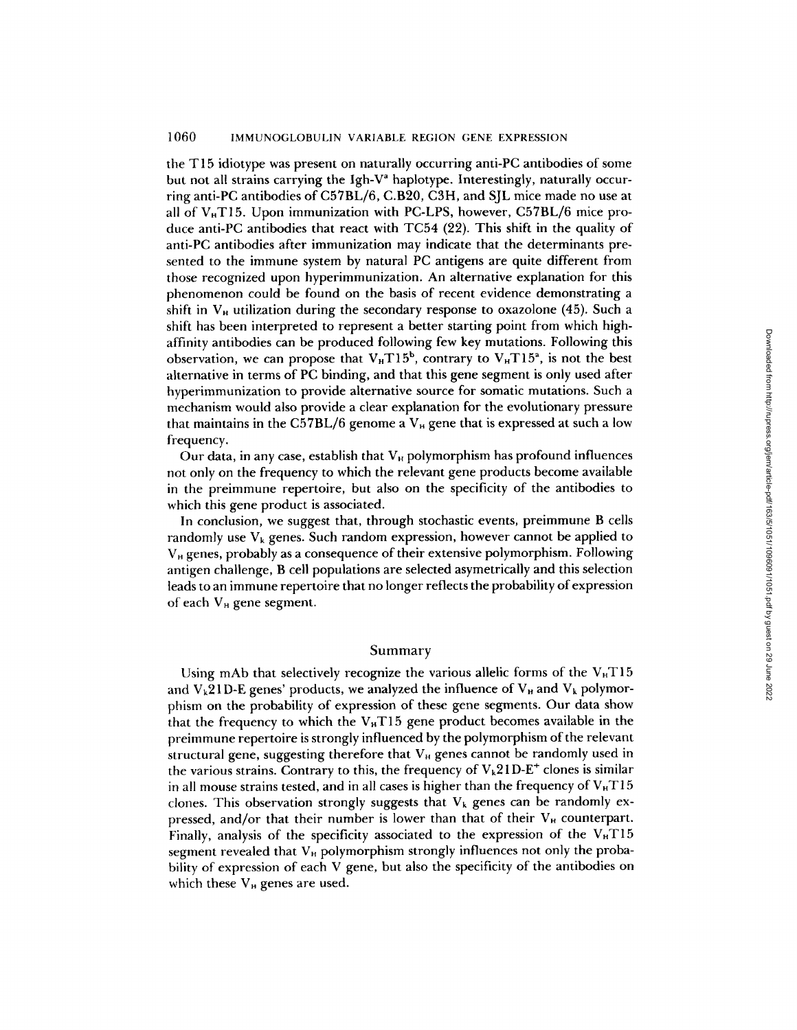# 1060 IMMUNOGLOBULIN VARIABLE REGION GENE EXPRESSION

the T 15 idiotype was present on naturally occurring anti-PC antibodies of some but not all strains carrying the Igh- $V^a$  haplotype. Interestingly, naturally occurring anti-PC antibodies of C57BL/6, C.B20, C3H, and SJL mice made no use at all of  $V_H$ T15. Upon immunization with PC-LPS, however, C57BL/6 mice produce anti-PC antibodies that react with TC54 (22). This shift in the quality of anti-PC antibodies after immunization may indicate that the determinants presented to the immune system by natural PC antigens are quite different from those recognized upon hyperimmunization. An alternative explanation for this phenomenon could be found on the basis of recent evidence demonstrating a shift in  $V_H$  utilization during the secondary response to oxazolone (45). Such a shift has been interpreted to represent a better starting point from which highaffinity antibodies can be produced following few key mutations. Following this observation, we can propose that  $V_H T 15^b$ , contrary to  $V_H T 15^a$ , is not the best alternative in terms of PC binding, and that this gene segment is only used after hyperimmunization to provide alternative source for somatic mutations. Such a mechanism would also provide a clear explanation for the evolutionary pressure that maintains in the C57BL/6 genome a  $V_H$  gene that is expressed at such a low frequency.

Our data, in any case, establish that  $V_H$  polymorphism has profound influences not only on the frequency to which the relevant gene products become available in the preimmune repertoire, but also on the specificity of the antibodies to which this gene product is associated.

In conclusion, we suggest that, through stochastic events, preimmune B cells randomly use  $V_k$  genes. Such random expression, however cannot be applied to  $V<sub>H</sub>$  genes, probably as a consequence of their extensive polymorphism. Following antigen challenge, B cell populations are selected asymetricaily and this selection leads to an immune repertoire that no longer reflects the probability of expression of each  $V_H$  gene segment.

### Summary

Using mAb that selectively recognize the various allelic forms of the  $V_H T15$ and  $V_k$ 21D-E genes' products, we analyzed the influence of  $V_{\rm H}$  and  $V_k$  polymorphism on the probability of expression of these gene segments. Our data show that the frequency to which the  $V_{H}T15$  gene product becomes available in the preimmune repertoire is strongly influenced by the polymorphism of the relevant structural gene, suggesting therefore that  $V_H$  genes cannot be randomly used in the various strains. Contrary to this, the frequency of  $V_k21D-E^+$  clones is similar in all mouse strains tested, and in all cases is higher than the frequency of  $V<sub>H</sub>T15$ clones. This observation strongly suggests that  $V_k$  genes can be randomly expressed, and/or that their number is lower than that of their  $V_H$  counterpart. Finally, analysis of the specificity associated to the expression of the  $V<sub>H</sub> T15$ segment revealed that  $V_H$  polymorphism strongly influences not only the probability of expression of each V gene, but also the specificity of the antibodies on which these  $V_H$  genes are used.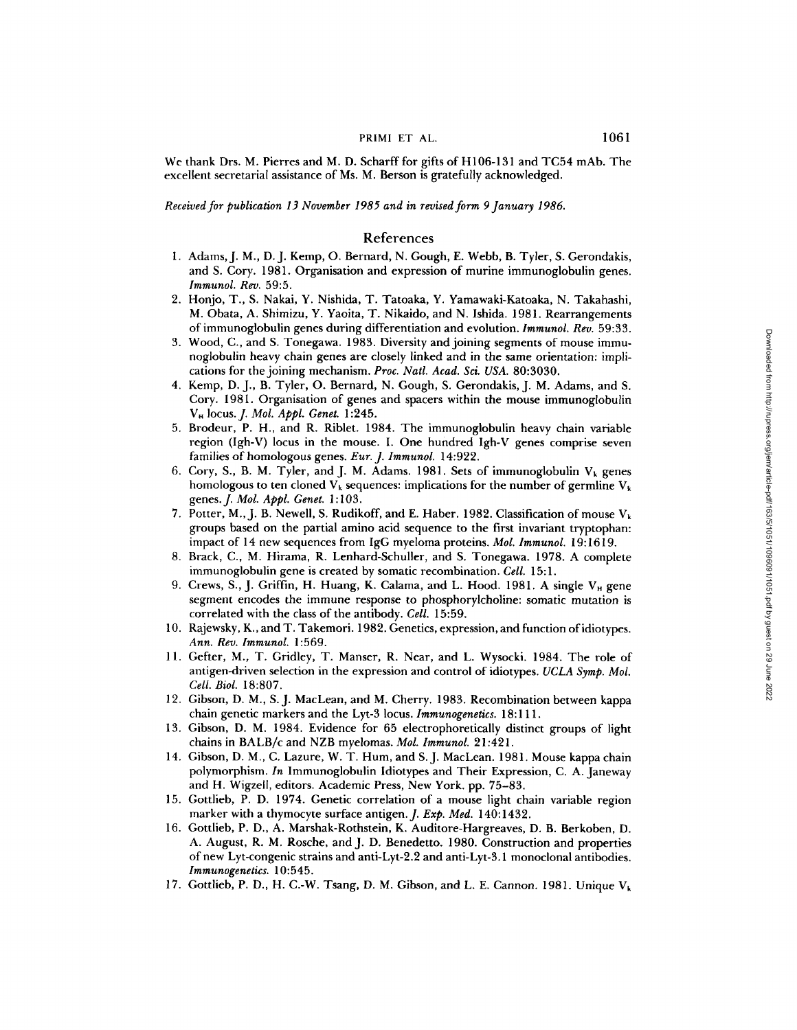We thank Drs. M. Pierres and M. D. Scharff for gifts of H106-131 and TC54 mAb. The excellent secretarial assistance of Ms. M. Berson is gratefully acknowledged.

*Received for publication 13 November 1985 and in revised form 9January 1986.* 

#### References

- 1. Adams, J. M., D. J. Kemp, O. Bernard, N. Gough, E. Webb, B. Tyler, S. Gerondakis, and S. Cory. 1981. Organisation and expression of murine immunoglohulin genes. *lmmunol. Rev.* 59:5.
- 2. Honjo, T., S. Nakai, Y. Nishida, T. Tatoaka, Y. Yamawaki-Katoaka, N. Takahashi, M. Obata, A. Shimizu, Y. Yaoita, T. Nikaido, and N. Ishida. 1981. Rearrangements of immunoglobulin genes during differentiation and evolution. *Immunol. Rev.* 59:33.
- 3. Wood, C., and S. Tonegawa. 1983. Diversity and joining segments of mouse immunoglobulin heavy chain genes are closely linked and in the same orientation: implications for the joining mechanism. *Proc. Natl. Acad. Sci. USA.* 80:3030.
- 4. Kemp, D.J., B. Tyler, O. Bernard, N. Gough, S. Gerondakis, J. M. Adams, and S. Cory. 1981. Organisation of genes and spacers within the mouse immunoglobulin VH locus.J. *Mol. Appl. Genet.* 1:245.
- 5. Brodeur, P. H., and R. Riblet. 1984. The immunogiobulin heavy chain variable region (Igh-V) locus in the mouse. I. One hundred Igh-V genes comprise seven families of homologous genes. *Eur. J. Immunol.* 14:922.
- 6. Cory, S., B. M. Tyler, and J. M. Adams. 1981. Sets of immunoglobulin  $V_k$  genes homologous to ten cloned  $V_k$  sequences: implications for the number of germline  $V_k$ genes.J. *Mol. Appl. Genet.* 1:103.
- 7. Potter, M., J. B. Newell, S. Rudikoff, and E. Haber. 1982. Classification of mouse  $V_k$ groups based on the partial amino acid sequence to the first invariant tryptophan: impact of 14 new sequences from IgG myeloma proteins. *Mol. Immunol.* 19:1619.
- 8. Brack, C., M. Hirama, R. Lenhard-Schuller, and S. Tonegawa. 1978. A complete immunoglobulin gene is created by somatic recombination. *Cell.* 15:1.
- 9. Crews, S., J. Griffin, H. Huang, K. Calama, and L. Hood. 1981. A single  $V_H$  gene segment encodes the immune response to phosphorylcholine: somatic mutation is correlated with the class of the antibody. *Cell.* 15:59.
- 10. Rajewsky, K., and T. Takemori. 1982. Genetics, expression, and function ofidiotypes. *Ann. Rev. Immunol.* 1:569.
- 11. Gefter, M., T. Gridley, T. Manser, R. Near, and L. Wysocki. 1984. The role of antigen-driven selection in the expression and control of idiotypes. *UCLA Symp. Mol. Cell. Biol.* 18:807.
- 12. Gibson, D. M., S.J. MacLean, and M. Cherry. 1983. Recombination between kappa chain genetic markers and the Lyt-3 locus. *Immunogenetics.* 18:111.
- 13. Gibson, D. M. 1984. Evidence for 65 electrophoretically distinct groups of light chains in BALB/c and NZB myelomas. *Mol. Immunol.* 21:421.
- 14. Gibson, D. M., C. Lazure, W. T. Hum, and S.J. MacLean. 1981. Mouse kappa chain polymorphism. *In* Immunoglobulin Idiotypes and Their Expression, C. A. Janeway and H. Wigzeil, editors. Academic Press, New York. pp. 75-83.
- 15. Gottlieb, P. D. 1974. Genetic correlation of a mouse light chain variable region marker with a thymocyte surface antigen. *J. Exp. Med.* 140:1432.
- 16. Gottlieb, P. D., A. Marshak-Rothstein, K. Auditore-Hargreaves, D. B. Berkoben, D. A. August, R. M. Rosche, and J. D. Benedetto. 1980. Construction and properties of new Lyt-congenic strains and anti-Lyt-2.2 and anti-Lyt-3.1 monoclonal antibodies. *lmmunogenetics.* 10:545.
- 17. Gottlieb, P. D., H. C.-W. Tsang, D. M. Gibson, and L. E. Cannon. 1981. Unique Vk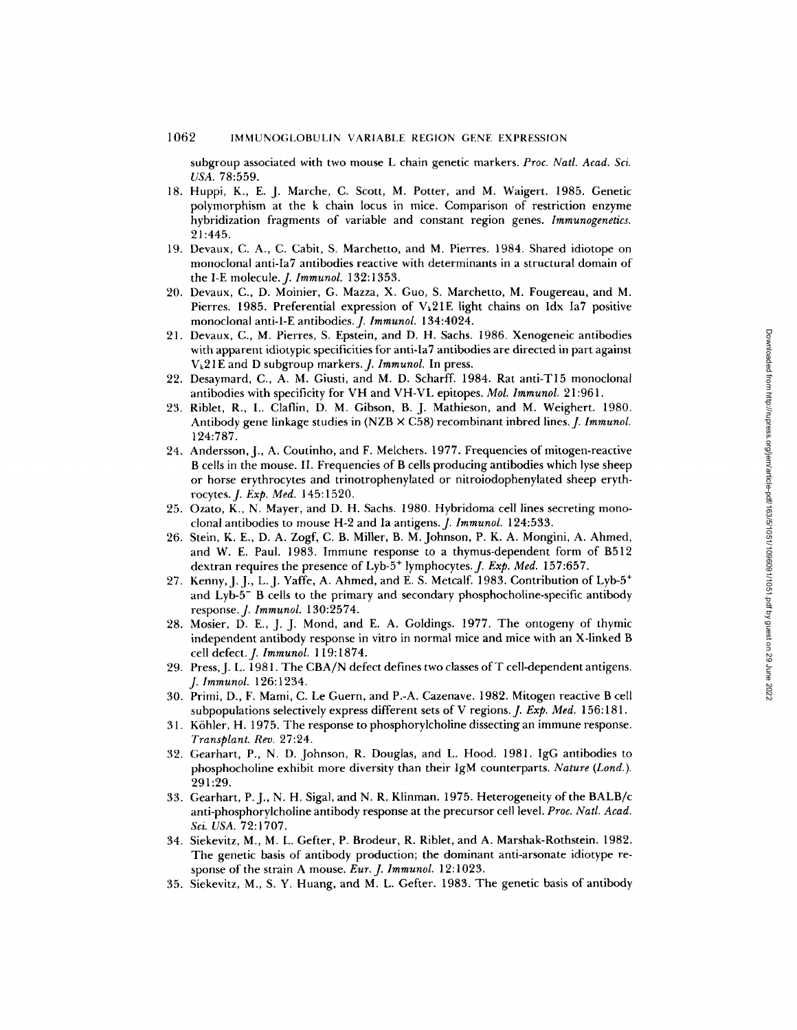subgroup associated with two mouse L chain genetic markers. *Proc. Natl. Acad. Sci. USA.* 78:559.

- 18. Huppi, K., E. J. Marche, C. Scott, M. Potter, and M. Waigert. 1985. Genetic polymorphism at the k chain locus in mice. Comparison of restriction enzyme hybridization fragments of variable and constant region genes. *Immunogenetics.*  21:445.
- 19. Devaux, C. A., C. Cabit, S. Marchetto, and M. Pierres. 1984. Shared idiotope on monoclonal anti-la7 antibodies reactive with determinants in a structural domain of the I-E molecule. *J. Immunol.* 132:1353.
- 20. Devaux, C., D. Moinier, G. Mazza, X. Guo, S. Marchetto, M. Fougereau, and M. Pierres. 1985. Preferential expression of  $V_k21E$  light chains on Idx Ia7 positive monoclonal anti-I-E antibodies.J. *Immunol.* 134:4024.
- 21. Devaux, C., M. Pierres, S. Epstein, and D. H. Sachs. 1986. Xenogeneic antibodies with apparent idiotypic specificities for anti-Ia7 antibodies are directed in part against Vk21E and D subgroup markers. *J. Immunol.* In press.
- 22. Desaymard, C., A. M. Giusti, and M. D. Scharff. 1984. Rat anti-T15 monoclonal antibodies with specificity for VH and VH-VL epitopes. *Mol. lmmunol.* 21:961.
- 23. Riblet, R., L. Claflin, D. M. Gibson, B. J. Mathieson, and M. Weighert. 1980. Antibody gene linkage studies in (NZB  $\times$  C58) recombinant inbred lines. *J. Immunol.* 124:787.
- 24. Andersson, J., A. Coutinho, and F. Melchers. 1977. Frequencies of mitogen-reactive B cells in the mouse. II. Frequencies of B cells producing antibodies which lyse sheep or horse erythrocytes and trinotrophenylated or nitroiodophenylated sheep erythrocytes. *J. Exp. Med.* 145:1520.
- 25. Ozato, K., N. Mayer, and D. H. Sachs. 1980. Hybridoma cell lines secreting monoclonal antibodies to mouse H-2 and Ia antigens.J. *Immunol.* 124:533.
- 26. Stein, K. E., D. A. Zogf, C. B. Miller, B. M. Johnson, P. K. A. Mongini, A. Ahmed, and W. E. Paul. 1983. Immune response to a thymus-dependent form of B512 dextran requires the presence of Lyb-5<sup>+</sup> lymphocytes. *J. Exp. Med.* 157:657.
- 27. Kenny, J. J., L. J. Yaffe, A. Ahmed, and E. S. Metcalf. 1983. Contribution of Lyb-5<sup>+</sup> and Lyb-5- B cells to the primary and secondary phosphocholine-specific antibody response. *J. Immunol.* 130:2574.
- 28. Mosier, D. E., J. J. Mond, and E. A. Goldings. 1977. The ontogeny of thymic independent antibody response in vitro in normal mice and mice with an X-linked B cell defect.J, *lmmunol.* 119:1874.
- 29. Press, J. L. 1981. The CBA/N defect defines two classes of T cell-dependent antigens. *J. lmmunol.* 126:1234.
- 30. Primi, D., F. Mami, C. Le Guern, and P.-A. Cazenave. 1982. Mitogen reactive B cell subpopulations selectively express different sets of V regions. *J. Exp. Med.* 156:181.
- 31. K6hler, H. 1975. The response to phosphorylcholine dissecting an immune response. *Transplant. Rev.* 27:24.
- 32. Gearhart, P., N. D. Johnson, R. Douglas, and L. Hood. 1981. IgG antibodies to pbosphocholine exhibit more diversity than their IgM counterparts. *Nature (Lond.).*  291:29.
- 33. Gearhart, P.J., N. H. Sigal, and N. R. Klinman. 1975. Heterogeneity of the BALB/c anti-phosphorylcholine antibody response at the precursor cell level. *Proc. Natl. Acad. Sci. USA.* 72:1707.
- 34. Siekevitz, M., M. L. Gefter, P. Brodeur, R. Riblet, and A. Marshak-Rothstein. 1982. The genetic basis of antibody production; the dominant anti-arsonate idiotype response of the strain A mouse. *Eur. J. lmmunol.* 12:1023.
- 35. Siekevitz, M., S. Y. Huang, and M. L. Gefter. 1983. The genetic basis of antibody